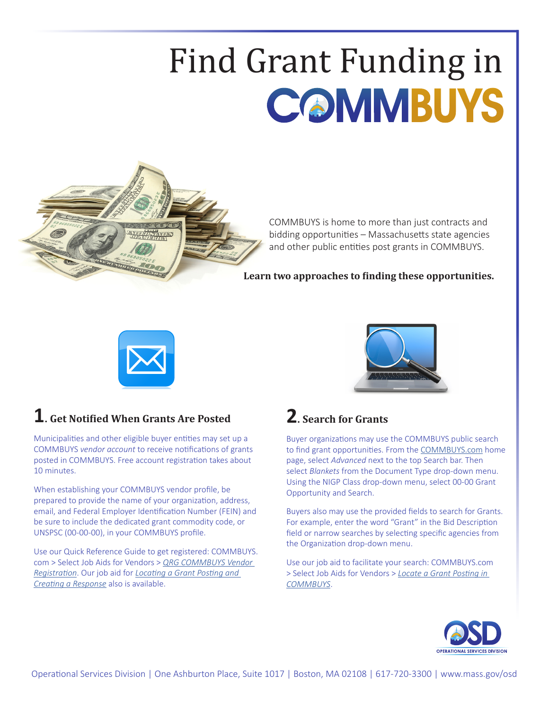## Find Grant Funding in



COMMBUYS is home to more than just contracts and bidding opportunities – Massachusetts state agencies and other public entities post grants in COMMBUYS.

**Learn two approaches to finding these opportunities.**





## **1. Get Notified When Grants Are Posted**

Municipalities and other eligible buyer entities may set up a COMMBUYS *vendor account* to receive notifications of grants posted in COMMBUYS. Free account registration takes about 10 minutes.

When establishing your COMMBUYS vendor profile, be prepared to provide the name of your organization, address, email, and Federal Employer Identification Number (FEIN) and be sure to include the dedicated grant commodity code, or UNSPSC (00-00-00), in your COMMBUYS profile.

Use our Quick Reference Guide to get registered: [COMMBUYS.](https://www.commbuys.com/bso/) [com](https://www.commbuys.com/bso/) > Select [Job Aids for Vendors](https://www.mass.gov/service-details/job-aids-for-vendors) > *[QRG COMMBUYS Vendor](https://www.mass.gov/doc/qrg-commbuys-vendor-registration/download)  [Registration](https://www.mass.gov/doc/qrg-commbuys-vendor-registration/download)*. Our job aid for *[Locating a Grant Posting and](https://www.mass.gov/doc/locate-a-grant-posting-and-create-a-response-logged-in/download)  [Creating a Response](https://www.mass.gov/doc/locate-a-grant-posting-and-create-a-response-logged-in/download)* also is available.

## **2. Search for Grants**

Buyer organizations may use the COMMBUYS public search to find grant opportunities. From the [COMMBUYS.com](https://www.commbuys.com/bso/) home page, select *Advanced* next to the top Search bar. Then select *Blankets* from the Document Type drop-down menu. Using the NIGP Class drop-down menu, select 00-00 Grant Opportunity and Search.

Buyers also may use the provided fields to search for Grants. For example, enter the word "Grant" in the Bid Description field or narrow searches by selecting specific agencies from the Organization drop-down menu.

Use our job aid to facilitate your search: COMMBUYS.com > Select [Job Aids for Vendors](https://www.mass.gov/service-details/job-aids-for-vendors) > *[Locate a Grant Posting in](https://www.mass.gov/doc/how-to-locate-a-grant-posting-in-commbuys/download)  [COMMBUYS](https://www.mass.gov/doc/how-to-locate-a-grant-posting-in-commbuys/download)*.